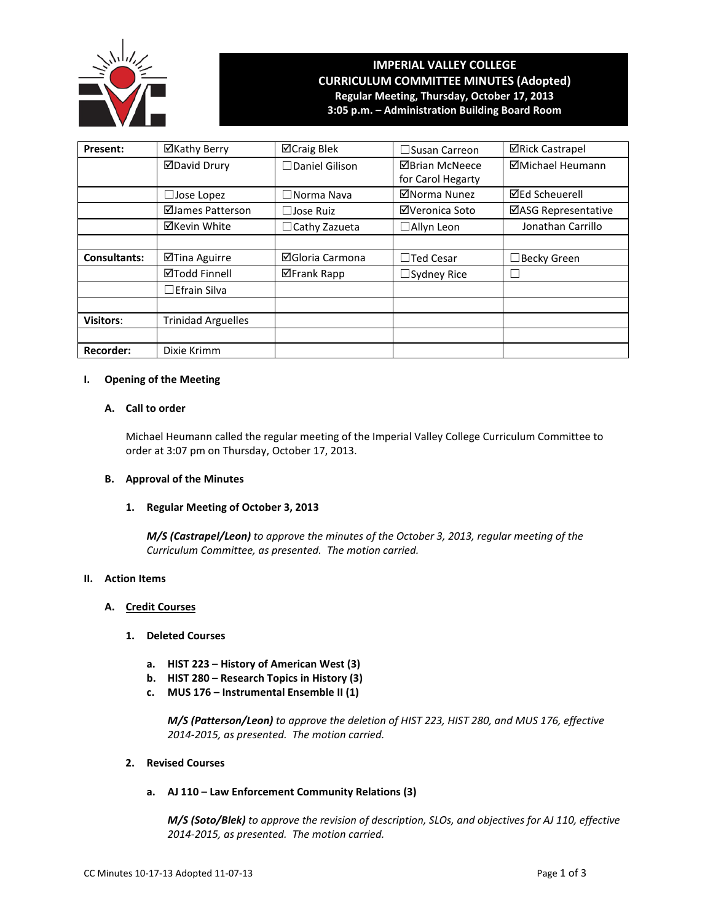

# **IMPERIAL VALLEY COLLEGE CURRICULUM COMMITTEE MINUTES (Adopted) Regular Meeting, Thursday, October 17, 2013 3:05 p.m. – Administration Building Board Room**

| Present:            | ⊠Kathy Berry              | <b>⊠Craig Blek</b>        | Susan Carreon         | <b>⊠Rick Castrapel</b> |
|---------------------|---------------------------|---------------------------|-----------------------|------------------------|
|                     | <b>ØDavid Drury</b>       | $\Box$ Daniel Gilison     | <b>ØBrian McNeece</b> | ⊠Michael Heumann       |
|                     |                           |                           | for Carol Hegarty     |                        |
|                     | $\Box$ Jose Lopez         | $\Box$ Norma Nava         | ⊠Norma Nunez          | <b>⊠Ed Scheuerell</b>  |
|                     | ⊠James Patterson          | Jose Ruiz<br>$\mathbf{I}$ | ⊠Veronica Soto        | ⊠ASG Representative    |
|                     | ⊠Kevin White              | $\Box$ Cathy Zazueta      | $\Box$ Allyn Leon     | Jonathan Carrillo      |
|                     |                           |                           |                       |                        |
| <b>Consultants:</b> | ⊠Tina Aguirre             | ⊠Gloria Carmona           | $\Box$ Ted Cesar      | □ Becky Green          |
|                     | <b>⊠Todd Finnell</b>      | $\boxtimes$ Frank Rapp    | $\Box$ Sydney Rice    |                        |
|                     | $\Box$ Efrain Silva       |                           |                       |                        |
|                     |                           |                           |                       |                        |
| <b>Visitors:</b>    | <b>Trinidad Arguelles</b> |                           |                       |                        |
|                     |                           |                           |                       |                        |
| <b>Recorder:</b>    | Dixie Krimm               |                           |                       |                        |

## **I. Opening of the Meeting**

## **A. Call to order**

Michael Heumann called the regular meeting of the Imperial Valley College Curriculum Committee to order at 3:07 pm on Thursday, October 17, 2013.

#### **B. Approval of the Minutes**

#### **1. Regular Meeting of October 3, 2013**

*M/S (Castrapel/Leon) to approve the minutes of the October 3, 2013, regular meeting of the Curriculum Committee, as presented. The motion carried.*

#### **II. Action Items**

# **A. Credit Courses**

#### **1. Deleted Courses**

- **a. HIST 223 – History of American West (3)**
- **b. HIST 280 – Research Topics in History (3)**
- **c. MUS 176 – Instrumental Ensemble II (1)**

*M/S (Patterson/Leon) to approve the deletion of HIST 223, HIST 280, and MUS 176, effective 2014-2015, as presented. The motion carried.*

#### **2. Revised Courses**

**a. AJ 110 – Law Enforcement Community Relations (3)**

*M/S (Soto/Blek) to approve the revision of description, SLOs, and objectives for AJ 110, effective 2014-2015, as presented. The motion carried.*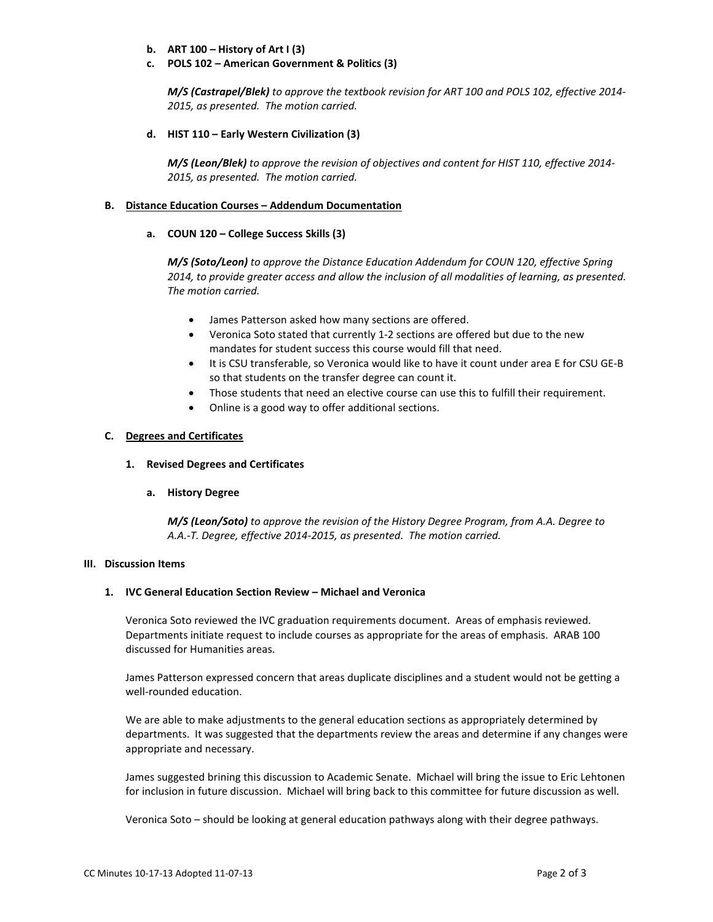# **b. ART 100 – History of Art I (3)**

**c. POLS 102 – American Government & Politics (3)**

*M/S (Castrapel/Blek) to approve the textbook revision for ART 100 and POLS 102, effective 2014- 2015, as presented. The motion carried.*

**d. HIST 110 – Early Western Civilization (3)**

*M/S (Leon/Blek) to approve the revision of objectives and content for HIST 110, effective 2014- 2015, as presented. The motion carried.*

## **B. Distance Education Courses – Addendum Documentation**

## **a. COUN 120 – College Success Skills (3)**

*M/S (Soto/Leon) to approve the Distance Education Addendum for COUN 120, effective Spring 2014, to provide greater access and allow the inclusion of all modalities of learning, as presented. The motion carried.*

- James Patterson asked how many sections are offered.
- Veronica Soto stated that currently 1-2 sections are offered but due to the new mandates for student success this course would fill that need.
- It is CSU transferable, so Veronica would like to have it count under area E for CSU GE-B so that students on the transfer degree can count it.
- Those students that need an elective course can use this to fulfill their requirement.
- Online is a good way to offer additional sections.

## **C. Degrees and Certificates**

#### **1. Revised Degrees and Certificates**

#### **a. History Degree**

*M/S (Leon/Soto) to approve the revision of the History Degree Program, from A.A. Degree to A.A.-T. Degree, effective 2014-2015, as presented. The motion carried.* 

# **III. Discussion Items**

#### **1. IVC General Education Section Review – Michael and Veronica**

Veronica Soto reviewed the IVC graduation requirements document. Areas of emphasis reviewed. Departments initiate request to include courses as appropriate for the areas of emphasis. ARAB 100 discussed for Humanities areas.

James Patterson expressed concern that areas duplicate disciplines and a student would not be getting a well-rounded education.

We are able to make adjustments to the general education sections as appropriately determined by departments. It was suggested that the departments review the areas and determine if any changes were appropriate and necessary.

James suggested brining this discussion to Academic Senate. Michael will bring the issue to Eric Lehtonen for inclusion in future discussion. Michael will bring back to this committee for future discussion as well.

Veronica Soto – should be looking at general education pathways along with their degree pathways.